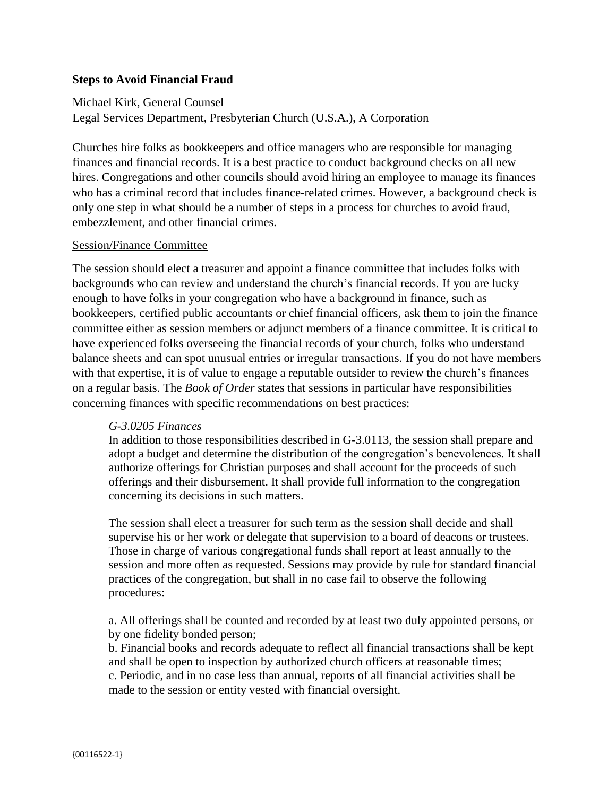## **Steps to Avoid Financial Fraud**

Michael Kirk, General Counsel Legal Services Department, Presbyterian Church (U.S.A.), A Corporation

Churches hire folks as bookkeepers and office managers who are responsible for managing finances and financial records. It is a best practice to conduct background checks on all new hires. Congregations and other councils should avoid hiring an employee to manage its finances who has a criminal record that includes finance-related crimes. However, a background check is only one step in what should be a number of steps in a process for churches to avoid fraud, embezzlement, and other financial crimes.

### Session/Finance Committee

The session should elect a treasurer and appoint a finance committee that includes folks with backgrounds who can review and understand the church's financial records. If you are lucky enough to have folks in your congregation who have a background in finance, such as bookkeepers, certified public accountants or chief financial officers, ask them to join the finance committee either as session members or adjunct members of a finance committee. It is critical to have experienced folks overseeing the financial records of your church, folks who understand balance sheets and can spot unusual entries or irregular transactions. If you do not have members with that expertise, it is of value to engage a reputable outsider to review the church's finances on a regular basis. The *Book of Order* states that sessions in particular have responsibilities concerning finances with specific recommendations on best practices:

#### *G-3.0205 Finances*

In addition to those responsibilities described in G-3.0113, the session shall prepare and adopt a budget and determine the distribution of the congregation's benevolences. It shall authorize offerings for Christian purposes and shall account for the proceeds of such offerings and their disbursement. It shall provide full information to the congregation concerning its decisions in such matters.

The session shall elect a treasurer for such term as the session shall decide and shall supervise his or her work or delegate that supervision to a board of deacons or trustees. Those in charge of various congregational funds shall report at least annually to the session and more often as requested. Sessions may provide by rule for standard financial practices of the congregation, but shall in no case fail to observe the following procedures:

a. All offerings shall be counted and recorded by at least two duly appointed persons, or by one fidelity bonded person;

b. Financial books and records adequate to reflect all financial transactions shall be kept and shall be open to inspection by authorized church officers at reasonable times; c. Periodic, and in no case less than annual, reports of all financial activities shall be made to the session or entity vested with financial oversight.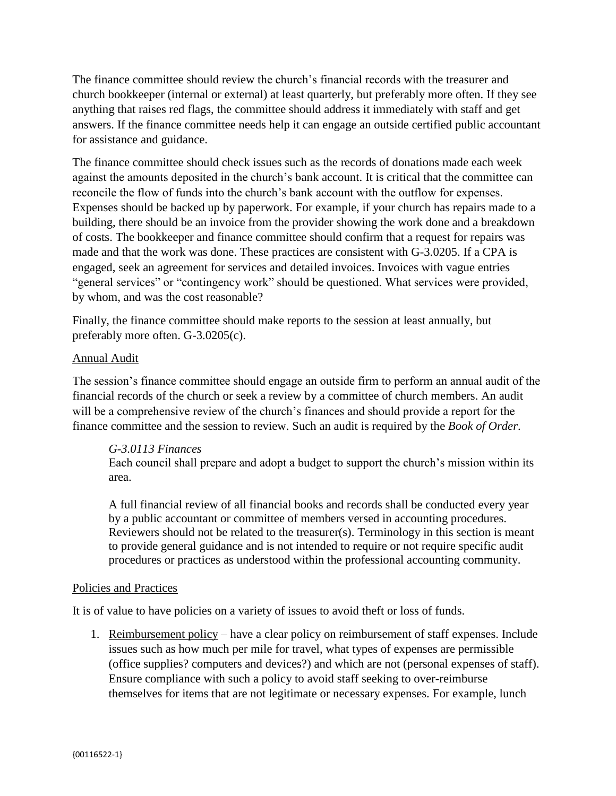The finance committee should review the church's financial records with the treasurer and church bookkeeper (internal or external) at least quarterly, but preferably more often. If they see anything that raises red flags, the committee should address it immediately with staff and get answers. If the finance committee needs help it can engage an outside certified public accountant for assistance and guidance.

The finance committee should check issues such as the records of donations made each week against the amounts deposited in the church's bank account. It is critical that the committee can reconcile the flow of funds into the church's bank account with the outflow for expenses. Expenses should be backed up by paperwork. For example, if your church has repairs made to a building, there should be an invoice from the provider showing the work done and a breakdown of costs. The bookkeeper and finance committee should confirm that a request for repairs was made and that the work was done. These practices are consistent with G-3.0205. If a CPA is engaged, seek an agreement for services and detailed invoices. Invoices with vague entries "general services" or "contingency work" should be questioned. What services were provided, by whom, and was the cost reasonable?

Finally, the finance committee should make reports to the session at least annually, but preferably more often. G-3.0205(c).

## Annual Audit

The session's finance committee should engage an outside firm to perform an annual audit of the financial records of the church or seek a review by a committee of church members. An audit will be a comprehensive review of the church's finances and should provide a report for the finance committee and the session to review. Such an audit is required by the *Book of Order*.

## *G-3.0113 Finances*

Each council shall prepare and adopt a budget to support the church's mission within its area.

A full financial review of all financial books and records shall be conducted every year by a public accountant or committee of members versed in accounting procedures. Reviewers should not be related to the treasurer(s). Terminology in this section is meant to provide general guidance and is not intended to require or not require specific audit procedures or practices as understood within the professional accounting community.

## Policies and Practices

It is of value to have policies on a variety of issues to avoid theft or loss of funds.

1. Reimbursement policy – have a clear policy on reimbursement of staff expenses. Include issues such as how much per mile for travel, what types of expenses are permissible (office supplies? computers and devices?) and which are not (personal expenses of staff). Ensure compliance with such a policy to avoid staff seeking to over-reimburse themselves for items that are not legitimate or necessary expenses. For example, lunch